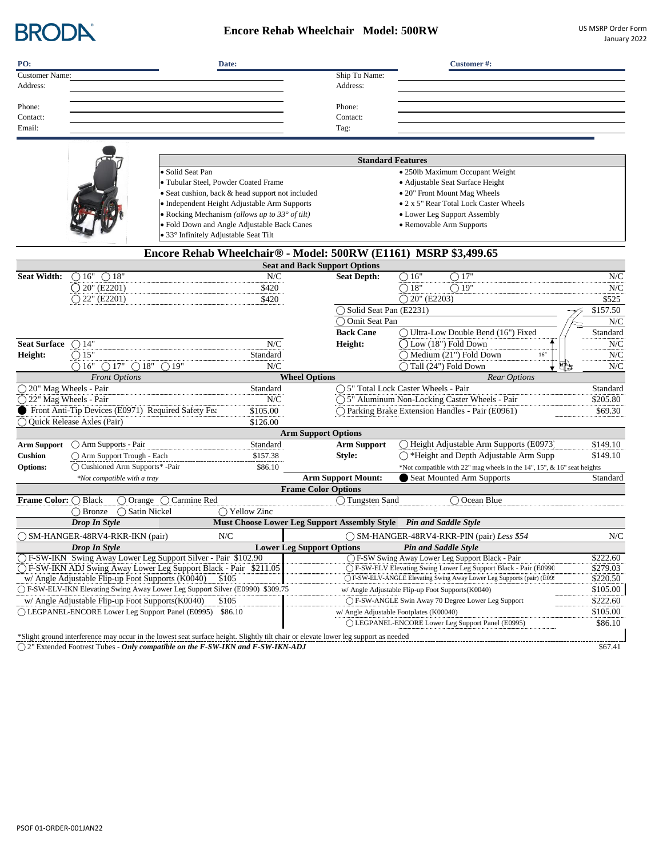

## **Encore Rehab Wheelchair Model: 500RW** US MSRP Order Form

| PO:                             |                                                           | Date:                                                                                                                               |         |                                                  |               | Customer#:                                                                                  |                           |
|---------------------------------|-----------------------------------------------------------|-------------------------------------------------------------------------------------------------------------------------------------|---------|--------------------------------------------------|---------------|---------------------------------------------------------------------------------------------|---------------------------|
| <b>Customer Name:</b>           |                                                           |                                                                                                                                     |         | Ship To Name:                                    |               |                                                                                             |                           |
| Address:                        |                                                           |                                                                                                                                     |         | Address:                                         |               |                                                                                             |                           |
|                                 |                                                           |                                                                                                                                     |         |                                                  |               |                                                                                             |                           |
| Phone:<br>Contact:              |                                                           |                                                                                                                                     |         | Phone:<br>Contact:                               |               |                                                                                             |                           |
| Email:                          |                                                           |                                                                                                                                     |         | Tag:                                             |               |                                                                                             |                           |
|                                 |                                                           |                                                                                                                                     |         |                                                  |               |                                                                                             |                           |
|                                 |                                                           |                                                                                                                                     |         |                                                  |               |                                                                                             |                           |
|                                 |                                                           |                                                                                                                                     |         |                                                  |               | <b>Standard Features</b>                                                                    |                           |
|                                 |                                                           | · Solid Seat Pan                                                                                                                    |         |                                                  |               | · 250lb Maximum Occupant Weight                                                             |                           |
|                                 |                                                           | · Tubular Steel, Powder Coated Frame                                                                                                |         |                                                  |               | · Adjustable Seat Surface Height                                                            |                           |
|                                 |                                                           | • Seat cushion, back & head support not included                                                                                    |         |                                                  |               | • 20" Front Mount Mag Wheels                                                                |                           |
|                                 |                                                           | • Independent Height Adjustable Arm Supports                                                                                        |         |                                                  |               | • 2 x 5" Rear Total Lock Caster Wheels                                                      |                           |
|                                 |                                                           | • Rocking Mechanism (allows up to $33^{\circ}$ of tilt)                                                                             |         |                                                  |               | • Lower Leg Support Assembly                                                                |                           |
|                                 |                                                           | · Fold Down and Angle Adjustable Back Canes                                                                                         |         |                                                  |               | • Removable Arm Supports                                                                    |                           |
|                                 |                                                           | • 33° Infinitely Adjustable Seat Tilt                                                                                               |         |                                                  |               |                                                                                             |                           |
|                                 |                                                           | Encore Rehab Wheelchair <sup>®</sup> - Model: 500RW (E1161) MSRP \$3,499.65                                                         |         |                                                  |               |                                                                                             |                           |
|                                 |                                                           |                                                                                                                                     |         | <b>Seat and Back Support Options</b>             |               |                                                                                             |                           |
| <b>Seat Width:</b>              | $\bigcirc$ 16"<br>$\bigcirc$ 18"                          |                                                                                                                                     | N/C     | <b>Seat Depth:</b>                               |               | $\bigcirc 16^{\overline{1}}$<br>$\bigcirc$ 17"                                              | N/C                       |
|                                 | $20$ " (E2201)                                            |                                                                                                                                     | \$420   |                                                  |               | $\bigcirc$ 18"<br>$\bigcirc$ 19"                                                            | N/C                       |
|                                 | $\bigcirc$ 22" (E2201)                                    |                                                                                                                                     | \$420   |                                                  |               | $\bigcirc$ 20" (E2203)                                                                      | \$525                     |
|                                 |                                                           |                                                                                                                                     |         |                                                  |               | Solid Seat Pan (E2231)                                                                      | \$157.50                  |
|                                 |                                                           |                                                                                                                                     |         |                                                  | Omit Seat Pan |                                                                                             | N/C                       |
|                                 |                                                           |                                                                                                                                     |         | <b>Back Cane</b>                                 |               | ◯ Ultra-Low Double Bend (16") Fixed                                                         | Standard                  |
| <b>Seat Surface</b>             | $\bigcirc$ 14"                                            |                                                                                                                                     | N/C     | Height:                                          |               | $\bigcap$ Low (18") Fold Down                                                               | N/C                       |
| Height:                         | $\bigcirc$ 15"                                            | Standard                                                                                                                            |         |                                                  |               | $\bigcirc$ Medium (21") Fold Down<br>$16''$                                                 | N/C                       |
|                                 | $\bigcirc$ 16"<br>$\bigcirc$ 17"<br>$\bigcirc$ 18"        | $\bigcirc$ 19"                                                                                                                      | N/C     |                                                  |               | $\bigcap$ Tall (24") Fold Down<br>吗?<br>÷                                                   | N/C                       |
|                                 | <b>Front Options</b>                                      |                                                                                                                                     |         | <b>Wheel Options</b>                             |               | <b>Rear Options</b>                                                                         |                           |
| ◯ 20" Mag Wheels - Pair         |                                                           | Standard                                                                                                                            |         |                                                  |               | ◯ 5" Total Lock Caster Wheels - Pair                                                        | Standard                  |
| $\bigcap$ 22" Mag Wheels - Pair |                                                           |                                                                                                                                     | N/C     |                                                  |               | $\bigcap$ 5" Aluminum Non-Locking Caster Wheels - Pair                                      | \$205.80                  |
|                                 | Front Anti-Tip Devices (E0971) Required Safety Fea        | \$105.00                                                                                                                            |         |                                                  |               | ◯ Parking Brake Extension Handles - Pair (E0961)                                            | \$69.30                   |
|                                 | Quick Release Axles (Pair)                                | \$126.00                                                                                                                            |         |                                                  |               |                                                                                             |                           |
| <b>Arm Support</b>              | ◯ Arm Supports - Pair                                     | Standard                                                                                                                            |         | <b>Arm Support Options</b><br><b>Arm Support</b> |               | ◯ Height Adjustable Arm Supports (E0973)                                                    | \$149.10                  |
| <b>Cushion</b>                  | ◯ Arm Support Trough - Each                               | \$157.38                                                                                                                            |         | Style:                                           |               | ◯ *Height and Depth Adjustable Arm Supp                                                     | \$149.10                  |
| <b>Options:</b>                 | ◯ Cushioned Arm Supports* -Pair                           |                                                                                                                                     | \$86.10 |                                                  |               | *Not compatible with 22" mag wheels in the 14", 15", & 16" seat heights                     |                           |
|                                 | *Not compatible with a tray                               |                                                                                                                                     |         | <b>Arm Support Mount:</b>                        |               | Seat Mounted Arm Supports                                                                   | Standard                  |
|                                 |                                                           |                                                                                                                                     |         | <b>Frame Color Options</b>                       |               |                                                                                             |                           |
| Frame Color: O Black            | $\overline{\bigcirc}$ Orange                              | $\bigcap$ Carmine Red                                                                                                               |         | ◯ Tungsten Sand                                  |               | $\bigcap$ Ocean Blue                                                                        |                           |
|                                 | $\bigcap$ Bronze<br>Satin Nickel                          | $\bigcap$ Yellow Zinc                                                                                                               |         |                                                  |               |                                                                                             |                           |
|                                 | Drop In Style                                             |                                                                                                                                     |         |                                                  |               | Must Choose Lower Leg Support Assembly Style Pin and Saddle Style                           |                           |
|                                 | ◯ SM-HANGER-48RV4-RKR-IKN (pair)                          | ${\rm N\hspace{-1pt}N}\hspace{1pt}$                                                                                                 |         |                                                  |               | ◯ SM-HANGER-48RV4-RKR-PIN (pair) Less \$54                                                  | ${\rm N\hspace{-1pt}N}\!$ |
|                                 | Drop In Style                                             |                                                                                                                                     |         | <b>Lower Leg Support Options</b>                 |               | <b>Pin and Saddle Style</b>                                                                 |                           |
|                                 |                                                           | ◯ F-SW-IKN Swing Away Lower Leg Support Silver - Pair \$102.90                                                                      |         |                                                  |               | ◯ F-SW Swing Away Lower Leg Support Black - Pair                                            | \$222.60                  |
|                                 |                                                           | (F-SW-IKN ADJ Swing Away Lower Leg Support Black - Pair \$211.05                                                                    |         |                                                  |               | ◯ F-SW-ELV Elevating Swing Lower Leg Support Black - Pair (E0990                            | \$279.03                  |
|                                 | w/ Angle Adjustable Flip-up Foot Supports (K0040)         | \$105                                                                                                                               |         |                                                  |               | ○ F-SW-ELV-ANGLE Elevating Swing Away Lower Leg Supports (pair) (E099                       | \$220.50<br>\$105.00      |
|                                 |                                                           | ○ F-SW-ELV-IKN Elevating Swing Away Lower Leg Support Silver (E0990) \$309.75                                                       |         |                                                  |               | w/ Angle Adjustable Flip-up Foot Supports(K0040)                                            |                           |
|                                 | w/ Angle Adjustable Flip-up Foot Supports (K0040)         | \$105                                                                                                                               |         |                                                  |               | ◯ F-SW-ANGLE Swin Away 70 Degree Lower Leg Support                                          | \$222.60                  |
|                                 | ◯ LEGPANEL-ENCORE Lower Leg Support Panel (E0995) \$86.10 |                                                                                                                                     |         |                                                  |               | w/ Angle Adjustable Footplates (K00040)<br>(DEGPANEL-ENCORE Lower Leg Support Panel (E0995) | \$105.00<br>\$86.10       |
|                                 |                                                           |                                                                                                                                     |         |                                                  |               |                                                                                             |                           |
|                                 |                                                           | *Slight ground interference may occur in the lowest seat surface height. Slightly tilt chair or elevate lower leg support as needed |         |                                                  |               |                                                                                             |                           |

 $\overline{O}$  2" Extended Footrest Tubes - *Only compatible on the F-SW-IKN and F-SW-IKN-ADJ*  $\overline{O}$   $\overline{O}$  =  $\overline{O}$  =  $\overline{O}$  =  $\overline{O}$  =  $\overline{O}$  =  $\overline{O}$  =  $\overline{O}$  =  $\overline{O}$  =  $\overline{O}$  =  $\overline{O}$  =  $\overline{O}$  =  $\over$ 

PSOF 01-ORDER-001JAN22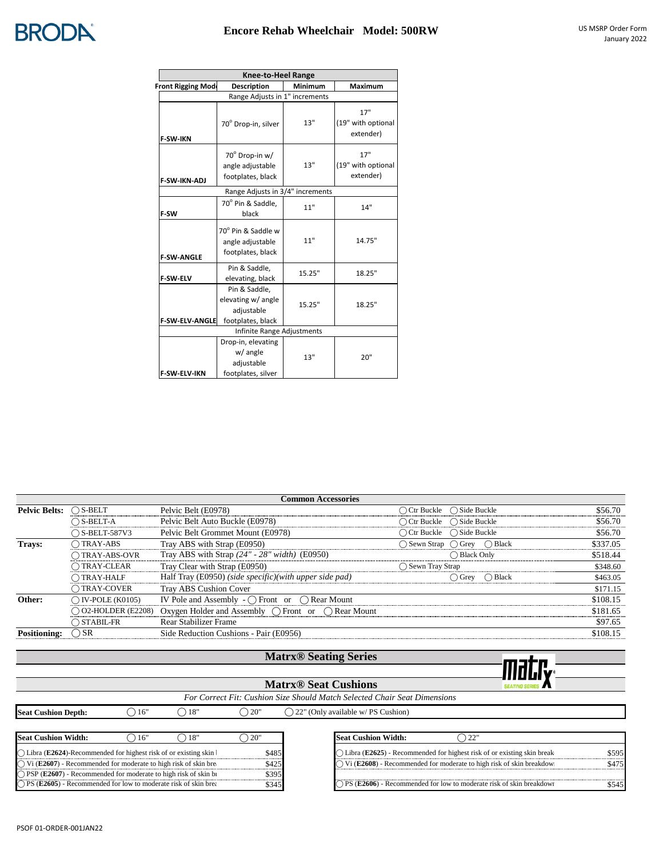

|                           | <b>Knee-to-Heel Range</b>                                              |         |                                        |
|---------------------------|------------------------------------------------------------------------|---------|----------------------------------------|
| <b>Front Rigging Mode</b> | Description                                                            | Minimum | Maximum                                |
|                           | Range Adjusts in 1" increments                                         |         |                                        |
| <b>F-SW-IKN</b>           | 70° Drop-in, silver                                                    | 13"     | 17"<br>(19" with optional<br>extender) |
| <b>F-SW-IKN-ADJ</b>       | 70° Drop-in w/<br>angle adjustable<br>footplates, black                | 13"     | 17"<br>(19" with optional<br>extender) |
|                           | Range Adjusts in 3/4" increments                                       |         |                                        |
| F-SW                      | 70° Pin & Saddle,<br>black                                             | 11"     | 14"                                    |
| <b>F-SW-ANGLE</b>         | 70° Pin & Saddle w<br>angle adjustable<br>footplates, black            | 11"     | 14.75"                                 |
| <b>F-SW-ELV</b>           | Pin & Saddle,<br>elevating, black                                      | 15.25"  | 18.25"                                 |
| <b>F-SW-ELV-ANGLE</b>     | Pin & Saddle,<br>elevating w/ angle<br>adjustable<br>footplates, black | 15.25"  | 18.25"                                 |
|                           | Infinite Range Adjustments                                             |         |                                        |
| <b>F-SW-ELV-IKN</b>       | Drop-in, elevating<br>w/ angle<br>adjustable<br>footplates, silver     | 13"     | 20"                                    |

|                      |                             | <b>Common Accessories</b>                                          |                                            |          |
|----------------------|-----------------------------|--------------------------------------------------------------------|--------------------------------------------|----------|
| <b>Pelvic Belts:</b> | $\bigcirc$ S-BELT           | Pelvic Belt (E0978)                                                | $\bigcap$ Ctr Buckle $\bigcap$ Side Buckle | \$56.70  |
|                      | $\bigcap$ S-BELT-A          | Pelvic Belt Auto Buckle (E0978)                                    | $\bigcap$ Ctr Buckle $\bigcap$ Side Buckle | \$56.70  |
|                      | $\bigcap$ S-BELT-587V3      | Pelvic Belt Grommet Mount (E0978)                                  | $\bigcap$ Ctr Buckle $\bigcap$ Side Buckle | \$56.70  |
| Trays:               | $\bigcap$ TRAY-ABS          | Tray ABS with Strap (E0950)                                        | ◯ Sewn Strap (◯ Grev (◯ Black              | \$337.05 |
|                      | $\bigcap$ TRAY-ABS-OVR      | Tray ABS with Strap $(24" - 28" width)$ (E0950)                    | $\bigcap$ Black Only                       | \$518.44 |
|                      | $\bigcap$ TRAY-CLEAR        | Tray Clear with Strap (E0950)                                      | ◯ Sewn Tray Strap                          | \$348.60 |
|                      | ◯ TRAY-HALF                 | Half Tray (E0950) (side specific)(with upper side pad)             | $\bigcap$ Grev $\bigcap$ Black             | \$463.05 |
|                      | ◯ TRAY-COVER                | <b>Tray ABS Cushion Cover</b>                                      |                                            | \$171.15 |
| Other:               | $\bigcap$ IV-POLE (K0105)   | IV Pole and Assembly - $\bigcap$ Front or $\bigcap$ Rear Mount     |                                            | \$108.15 |
|                      | $\bigcap$ O2-HOLDER (E2208) | Oxygen Holder and Assembly $\bigcap$ Front or $\bigcap$ Rear Mount |                                            | \$181.65 |
|                      | $\bigcap$ STABIL-FR         | Rear Stabilizer Frame                                              |                                            | \$97.65  |
| <b>Positioning:</b>  | $\bigcirc$ SR               | Side Reduction Cushions - Pair (E0956)                             |                                            | \$108.15 |
|                      |                             |                                                                    |                                            |          |

### **Matrx® Seating Series**

|                                                                           |       |               |                | <b>Matrx® Seating Series</b>                |     |  |
|---------------------------------------------------------------------------|-------|---------------|----------------|---------------------------------------------|-----|--|
|                                                                           |       |               |                |                                             |     |  |
|                                                                           |       |               |                |                                             |     |  |
| For Correct Fit: Cushion Size Should Match Selected Chair Seat Dimensions |       |               |                |                                             |     |  |
| <b>Seat Cushion Depth:</b>                                                | 16"   | $\bigcap$ 18" | $\bigcirc$ 20" | $\bigcap$ 22" (Only available w/PS Cushion) |     |  |
|                                                                           |       |               |                |                                             |     |  |
| Seat Cushion Width:                                                       | , 16" | 18"           | 20"            | <b>Seat Cushion Width:</b>                  | 22" |  |

| "TSeat Cusmon Width:"                                                        |  |       |
|------------------------------------------------------------------------------|--|-------|
| $\bigcap$ Libra (E2624)-Recommended for highest risk of or existing skin l   |  | \$485 |
| $\bigcirc$ Vi (E2607) - Recommended for moderate to high risk of skin break- |  | \$425 |
| $\bigcap$ PSP (E2607) - Recommended for moderate to high risk of skin bi     |  | \$395 |
| $\bigcap$ PS (E2605) - Recommended for low to moderate risk of skin brea     |  | \$345 |

| Seat Cushion Width:                                                         | 18'                                                 |       | <b>Seat Cushion Width:</b>                                                 |      |
|-----------------------------------------------------------------------------|-----------------------------------------------------|-------|----------------------------------------------------------------------------|------|
| $\bigcap$ Libra (E2624)-Recommended for highest risk of or existing skin l  |                                                     | 485ء  | Libra (E2625) - Recommended for highest risk of or existing skin break     | 5595 |
| $\hat{U}$ Vi (E2607) - Recommended for moderate to high risk of skin break- |                                                     | -425ه | ) Vi (E2608) - Recommended for moderate to high risk of skin breakdown     |      |
| $\supset$ PSP (E2607) - Recommended for moderate to high risk of skin by    |                                                     | \$395 |                                                                            |      |
| $\bigcap$ PS (E2605).                                                       | . Recommended for low to moderate risk of skin brea |       | $\sum$ PS (E2606) - Recommended for low to moderate risk of skin breakdown |      |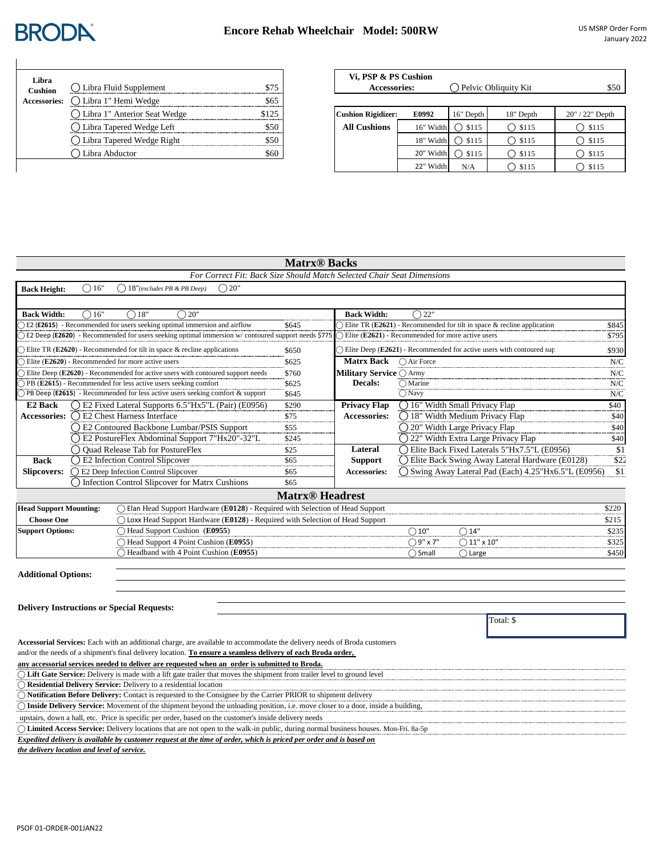### **Encore Rehab Wheelchair Model: 500RW** US MSRP Order Form

# **BRODA**

| Lihra<br><b>Cushion</b> | ◯ Libra Fluid Supplement     |       |
|-------------------------|------------------------------|-------|
| <b>Accessories:</b>     | Libra 1" Hemi Wedge          |       |
|                         | Libra 1" Anterior Seat Wedge | \$175 |
|                         | Libra Tapered Wedge Left     |       |
|                         | () Libra Tapered Wedge Right |       |
|                         | Libra Abductor               |       |

| ◯ Libra Fluid Supplement       | \$75  | Vi, PSP & PS Cushion<br><b>Accessories:</b> |           | $\bigcap$ Pelvic Obliquity Kit | \$50             |                  |
|--------------------------------|-------|---------------------------------------------|-----------|--------------------------------|------------------|------------------|
| ○ Libra 1" Hemi Wedge          | \$65  |                                             |           |                                |                  |                  |
| ◯ Libra 1" Anterior Seat Wedge | \$125 | <b>Cushion Rigidizer:</b>                   | E0992     | 16" Depth                      | 18" Depth        | 20" / 22" Depth  |
| ◯ Libra Tapered Wedge Left     | \$50  | <b>All Cushions</b>                         | 16" Width | $\bigcirc$ \$115               | $\bigcirc$ \$115 | $\bigcirc$ \$115 |
| ◯ Libra Tapered Wedge Right    | \$50  |                                             | 18" Width | $\bigcap$ \$115                | $\bigcirc$ \$115 | $\bigcirc$ \$115 |
| ◯ Libra Abductor               | \$60  |                                             | 20" Width | $\bigcap$ \$115                | $\bigcirc$ \$115 | $\bigcirc$ \$115 |
|                                |       |                                             | 22" Width | N/A                            | $\bigcap$ \$115  | $\bigcirc$ \$115 |

## **Matrx® Backs**

| For Correct Fit: Back Size Should Match Selected Chair Seat Dimensions                                                  |                                   |                                |                                                                                  |       |
|-------------------------------------------------------------------------------------------------------------------------|-----------------------------------|--------------------------------|----------------------------------------------------------------------------------|-------|
| 18"(excludes PB & PB Deep)<br>() 20"<br>16"<br><b>Back Height:</b><br>( )                                               |                                   |                                |                                                                                  |       |
|                                                                                                                         |                                   |                                |                                                                                  |       |
| 18"<br><b>Back Width:</b><br>16"<br>20"                                                                                 |                                   | <b>Back Width:</b>             | $\bigcap 22"$                                                                    |       |
| E2 (E2615) - Recommended for users seeking optimal immersion and airflow                                                | \$645                             |                                | $\supset$ Elite TR (E2621) - Recommended for tilt in space & recline application | \$845 |
| ○ E2 Deep (E2620) - Recommended for users seeking optimal immersion w/ contoured support needs \$775                    |                                   |                                | $\bigcap$ Elite (E2621) - Recommended for more active users                      | \$795 |
| $\bigcirc$ Elite TR (E2620) - Recommended for tilt in space & recline applications                                      | \$650                             |                                | $\bigcap$ Elite Deep (E2621) - Recommended for active users with contoured sup   | \$930 |
| $\bigcirc$ Elite (E2620) - Recommended for more active users                                                            | \$625                             | <b>Matrx Back</b>              | ◯ Air Force                                                                      | N/C   |
| $\bigcirc$ Elite Deep (E2620) - Recommended for active users with contoured support needs                               | \$760                             | <b>Military Service ○ Army</b> |                                                                                  | N/C   |
| $\bigcap$ PB (E2615) - Recommended for less active users seeking comfort                                                | \$625                             | <b>Decals:</b>                 | $\bigcap$ Marine                                                                 | N/C   |
| $\bigcap$ PB Deep (E2615) - Recommended for less active users seeking comfort & support                                 | \$645                             |                                | $\bigcap$ Navy                                                                   | N/C   |
| (Delection 2015) [2016] (Delection Literal Supports 6.5"Hx5"L (Pair) (E0956)<br>E <sub>2</sub> Back                     | \$290                             | <b>Privacy Flap</b>            | $\bigcap$ 16" Width Small Privacy Flap                                           | \$40  |
| Accessories: $\bigcap$ E2 Chest Harness Interface                                                                       | \$75                              | <b>Accessories:</b>            | $\bigcap$ 18" Width Medium Privacy Flap                                          | \$40  |
| ◯ E2 Contoured Backbone Lumbar/PSIS Support                                                                             | \$55                              |                                | ◯ 20" Width Large Privacy Flap                                                   | \$40  |
| ○ E2 PostureFlex Abdominal Support 7"Hx20"-32"L                                                                         | \$245                             |                                | ○ 22" Width Extra Large Privacy Flap                                             | \$40  |
| Ouad Release Tab for PostureFlex                                                                                        | \$25                              | Lateral                        | Elite Back Fixed Laterals 5"Hx7.5"L (E0956)                                      | \$1   |
| <b>E2</b> Infection Control Slipcover<br><b>Back</b>                                                                    | \$65                              | <b>Support</b>                 | ◯ Elite Back Swing Away Lateral Hardware (E0128)                                 | \$22  |
| <b>Slipcovers:</b><br>E2 Deep Infection Control Slipcover                                                               | \$65                              | Accessories:                   | (Swing Away Lateral Pad (Each) 4.25"Hx6.5"L (E0956)                              | \$1   |
| Infection Control Slipcover for Matrx Cushions                                                                          | \$65                              |                                |                                                                                  |       |
|                                                                                                                         | <b>Matrx<sup>®</sup></b> Headrest |                                |                                                                                  |       |
| $\bigcap$ Elan Head Support Hardware (E0128) - Required with Selection of Head Support<br><b>Head Support Mounting:</b> |                                   |                                |                                                                                  | \$220 |

| Littau oupport mounting. | $\epsilon$ Light Head Buppont Hard ward (E0120)<br>- коашка мня эсксеноя от гюда эйррон |         |                           | ⊍∠∠∪  |
|--------------------------|-----------------------------------------------------------------------------------------|---------|---------------------------|-------|
| Choose One               | Loxx Head Support Hardware $(E0128)$ - Required with Selection of Head Support          |         |                           |       |
| <b>Support Options:</b>  | Head Support Cushion (E0955)                                                            | 10"     |                           | \$235 |
|                          | Head Support 4 Point Cushion (E0955)                                                    | ר v 7"  | $\left.\right)$ 11" x 10" | \$325 |
|                          | Headband with 4 Point Cushion (E0955)                                                   | ) Small | Large                     | \$450 |

**Additional Options:**

#### **Delivery Instructions or Special Requests:**

Total: \$

| Accessorial Services: Each with an additional charge, are available to accommodate the delivery needs of Broda customers                  |
|-------------------------------------------------------------------------------------------------------------------------------------------|
| and/or the needs of a shipment's final delivery location. To ensure a seamless delivery of each Broda order,                              |
| any accessorial services needed to deliver are requested when an order is submitted to Broda.                                             |
| $\bigcap$ Lift Gate Service: Delivery is made with a lift gate trailer that moves the shipment from trailer level to ground level         |
| $\bigcap$ Residential Delivery Service: Delivery to a residential location                                                                |
| ◯ Notification Before Delivery: Contact is requested to the Consignee by the Carrier PRIOR to shipment delivery                           |
| $\bigcap$ Inside Delivery Service: Movement of the shipment beyond the unloading position, i.e. move closer to a door, inside a building, |
| upstairs, down a hall, etc. Price is specific per order, based on the customer's inside delivery needs                                    |
| ◯ Limited Access Service: Delivery locations that are not open to the walk-in public, during normal business houses. Mon-Fri. 8a-5p       |
| Expedited delivery is available by customer request at the time of order, which is priced per order and is based on                       |

*the delivery location and level of service.*